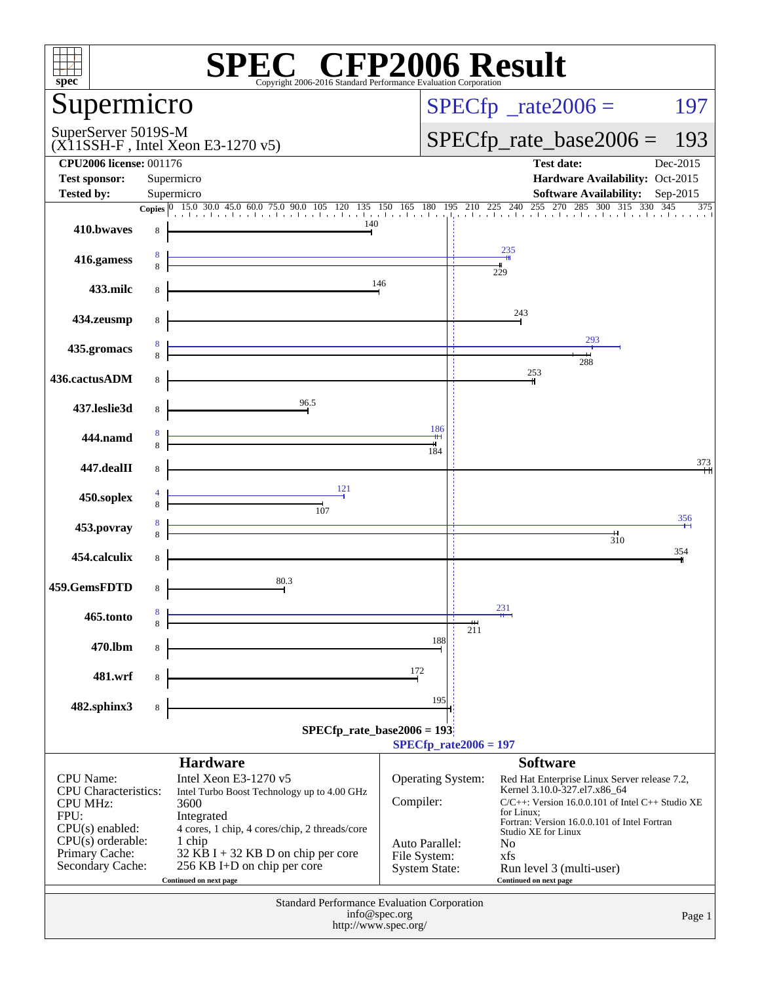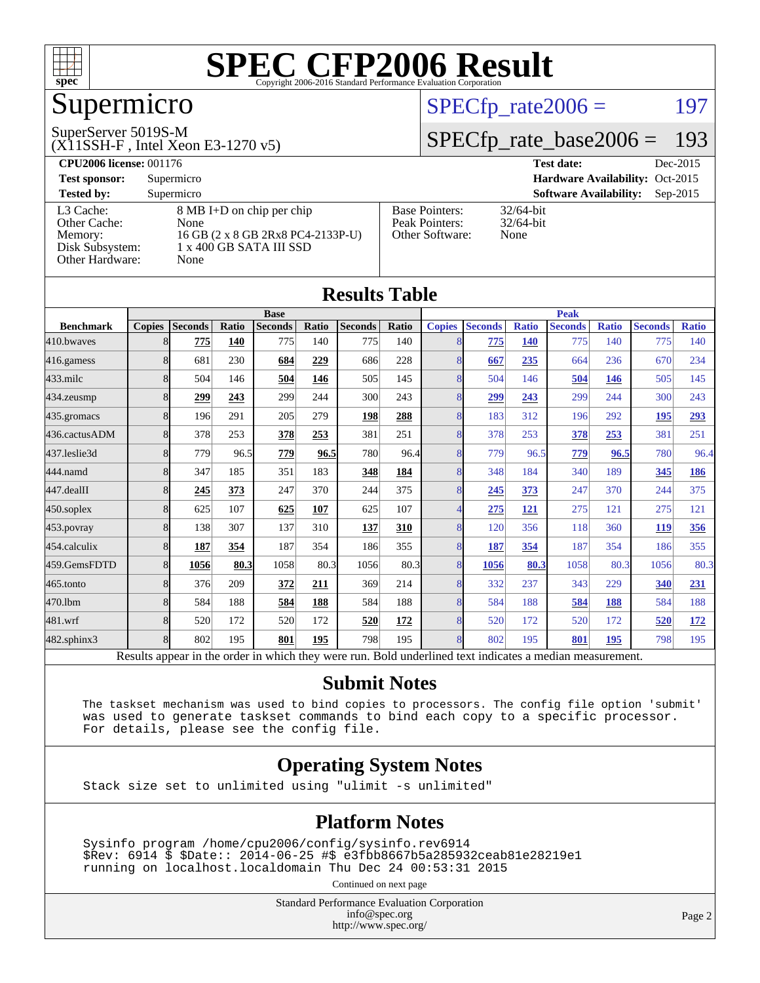

## Supermicro

#### SuperServer 5019S-M

(X11SSH-F , Intel Xeon E3-1270 v5)

#### $SPECTp_rate2006 = 197$

#### [SPECfp\\_rate\\_base2006 =](http://www.spec.org/auto/cpu2006/Docs/result-fields.html#SPECfpratebase2006) 193

| <b>CPU2006 license: 001176</b> |                                   |                                 | <b>Test date:</b><br>Dec-2015               |  |  |  |
|--------------------------------|-----------------------------------|---------------------------------|---------------------------------------------|--|--|--|
| <b>Test sponsor:</b>           | Supermicro                        | Hardware Availability: Oct-2015 |                                             |  |  |  |
| <b>Tested by:</b>              | Supermicro                        |                                 | <b>Software Availability:</b><br>$Sep-2015$ |  |  |  |
| L3 Cache:                      | 8 MB I+D on chip per chip         | <b>Base Pointers:</b>           | $32/64$ -bit                                |  |  |  |
| Other Cache:                   | None                              | Peak Pointers:                  | $32/64$ -bit                                |  |  |  |
| Memory:                        | 16 GB (2 x 8 GB 2Rx8 PC4-2133P-U) | Other Software:                 | None                                        |  |  |  |
| Disk Subsystem:                | 1 x 400 GB SATA III SSD           |                                 |                                             |  |  |  |
| Other Hardware:                | None                              |                                 |                                             |  |  |  |

**[Results Table](http://www.spec.org/auto/cpu2006/Docs/result-fields.html#ResultsTable)**

| Results Table     |               |                                                                                                          |       |                |       |                |       |                          |                |              |                |              |                |              |
|-------------------|---------------|----------------------------------------------------------------------------------------------------------|-------|----------------|-------|----------------|-------|--------------------------|----------------|--------------|----------------|--------------|----------------|--------------|
|                   | <b>Base</b>   |                                                                                                          |       |                |       | <b>Peak</b>    |       |                          |                |              |                |              |                |              |
| <b>Benchmark</b>  | <b>Copies</b> | <b>Seconds</b>                                                                                           | Ratio | <b>Seconds</b> | Ratio | <b>Seconds</b> | Ratio | <b>Copies</b>            | <b>Seconds</b> | <b>Ratio</b> | <b>Seconds</b> | <b>Ratio</b> | <b>Seconds</b> | <b>Ratio</b> |
| 410.bwaves        | 8             | 775                                                                                                      | 140   | 775            | 140   | 775            | 140   |                          | 775            | <b>140</b>   | 775            | 140          | 775            | 140          |
| 416.gamess        | 8             | 681                                                                                                      | 230   | 684            | 229   | 686            | 228   | 8                        | 667            | 235          | 664            | 236          | 670            | 234          |
| $433$ .milc       | 8             | 504                                                                                                      | 146   | 504            | 146   | 505            | 145   | 8                        | 504            | 146          | 504            | 146          | 505            | 145          |
| $434$ . zeusmp    | 8             | 299                                                                                                      | 243   | 299            | 244   | 300            | 243   | $\overline{8}$           | 299            | 243          | 299            | 244          | 300            | 243          |
| 435.gromacs       | 8             | 196                                                                                                      | 291   | 205            | 279   | 198            | 288   | 8                        | 183            | 312          | 196            | 292          | 195            | 293          |
| 436.cactusADM     | 8             | 378                                                                                                      | 253   | 378            | 253   | 381            | 251   | 8                        | 378            | 253          | 378            | 253          | 381            | 251          |
| 437.leslie3d      | 8             | 779                                                                                                      | 96.5  | 779            | 96.5  | 780            | 96.4  | 8                        | 779            | 96.5         | 779            | 96.5         | 780            | 96.4         |
| 444.namd          | 8             | 347                                                                                                      | 185   | 351            | 183   | 348            | 184   | 8                        | 348            | 184          | 340            | 189          | 345            | 186          |
| 447.dealII        | 8             | 245                                                                                                      | 373   | 247            | 370   | 244            | 375   | $\overline{8}$           | 245            | 373          | 247            | 370          | 244            | 375          |
| $450$ .soplex     | 8             | 625                                                                                                      | 107   | 625            | 107   | 625            | 107   | $\boldsymbol{\varDelta}$ | 275            | 121          | 275            | 121          | 275            | 121          |
| 453.povray        | 8             | 138                                                                                                      | 307   | 137            | 310   | 137            | 310   | 8                        | 120            | 356          | 118            | 360          | <b>119</b>     | 356          |
| 454.calculix      | 8             | 187                                                                                                      | 354   | 187            | 354   | 186            | 355   | 8                        | 187            | 354          | 187            | 354          | 186            | 355          |
| 459.GemsFDTD      | 8             | 1056                                                                                                     | 80.3  | 1058           | 80.3  | 1056           | 80.3  | 8                        | 1056           | 80.3         | 1058           | 80.3         | 1056           | 80.3         |
| $465$ .tonto      | 8             | 376                                                                                                      | 209   | 372            | 211   | 369            | 214   | 8                        | 332            | 237          | 343            | 229          | 340            | 231          |
| 470.1bm           | 8             | 584                                                                                                      | 188   | 584            | 188   | 584            | 188   | 8                        | 584            | 188          | 584            | 188          | 584            | 188          |
| 481.wrf           | 8             | 520                                                                                                      | 172   | 520            | 172   | 520            | 172   | 8                        | 520            | 172          | 520            | 172          | 520            | <u>172</u>   |
| $482$ .sphinx $3$ | 8             | 802                                                                                                      | 195   | 801            | 195   | 798            | 195   | $\mathbf{8}$             | 802            | 195          | 801            | 195          | 798            | 195          |
|                   |               | Results appear in the order in which they were run. Bold underlined text indicates a median measurement. |       |                |       |                |       |                          |                |              |                |              |                |              |

#### **[Submit Notes](http://www.spec.org/auto/cpu2006/Docs/result-fields.html#SubmitNotes)**

 The taskset mechanism was used to bind copies to processors. The config file option 'submit' was used to generate taskset commands to bind each copy to a specific processor. For details, please see the config file.

#### **[Operating System Notes](http://www.spec.org/auto/cpu2006/Docs/result-fields.html#OperatingSystemNotes)**

Stack size set to unlimited using "ulimit -s unlimited"

#### **[Platform Notes](http://www.spec.org/auto/cpu2006/Docs/result-fields.html#PlatformNotes)**

 Sysinfo program /home/cpu2006/config/sysinfo.rev6914 \$Rev: 6914 \$ \$Date:: 2014-06-25 #\$ e3fbb8667b5a285932ceab81e28219e1 running on localhost.localdomain Thu Dec 24 00:53:31 2015

Continued on next page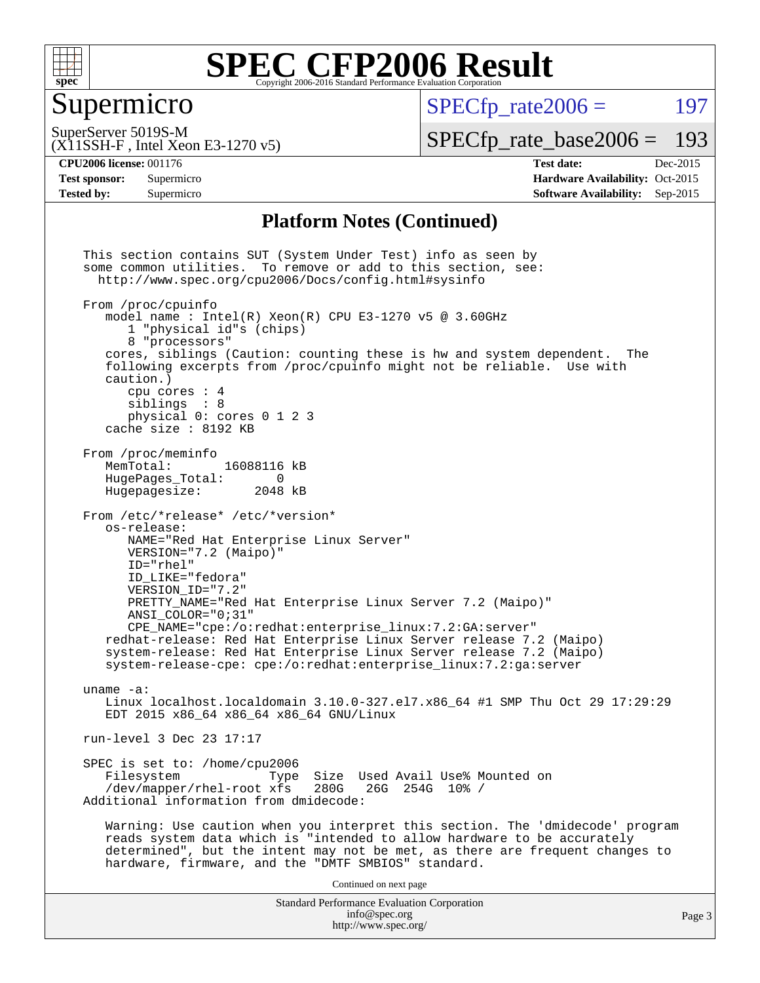

#### Supermicro

 $SPECTp\_rate2006 = 197$ 

SuperServer 5019S-M

[SPECfp\\_rate\\_base2006 =](http://www.spec.org/auto/cpu2006/Docs/result-fields.html#SPECfpratebase2006) 193

### (X11SSH-F , Intel Xeon E3-1270 v5)

**[Tested by:](http://www.spec.org/auto/cpu2006/Docs/result-fields.html#Testedby)** Supermicro **Supermicro [Software Availability:](http://www.spec.org/auto/cpu2006/Docs/result-fields.html#SoftwareAvailability)** Sep-2015

**[CPU2006 license:](http://www.spec.org/auto/cpu2006/Docs/result-fields.html#CPU2006license)** 001176 **[Test date:](http://www.spec.org/auto/cpu2006/Docs/result-fields.html#Testdate)** Dec-2015 **[Test sponsor:](http://www.spec.org/auto/cpu2006/Docs/result-fields.html#Testsponsor)** Supermicro Supermicro **[Hardware Availability:](http://www.spec.org/auto/cpu2006/Docs/result-fields.html#HardwareAvailability)** Oct-2015

#### **[Platform Notes \(Continued\)](http://www.spec.org/auto/cpu2006/Docs/result-fields.html#PlatformNotes)**

Standard Performance Evaluation Corporation [info@spec.org](mailto:info@spec.org) <http://www.spec.org/> This section contains SUT (System Under Test) info as seen by some common utilities. To remove or add to this section, see: <http://www.spec.org/cpu2006/Docs/config.html#sysinfo> From /proc/cpuinfo model name : Intel $(R)$  Xeon $(R)$  CPU E3-1270 v5 @ 3.60GHz 1 "physical id"s (chips) 8 "processors" cores, siblings (Caution: counting these is hw and system dependent. The following excerpts from /proc/cpuinfo might not be reliable. Use with caution.) cpu cores : 4 siblings : 8 physical 0: cores 0 1 2 3 cache size : 8192 KB From /proc/meminfo MemTotal: 16088116 kB<br>HugePages Total: 0 HugePages\_Total: 0<br>Hugepagesize: 2048 kB Hugepagesize: From /etc/\*release\* /etc/\*version\* os-release: NAME="Red Hat Enterprise Linux Server" VERSION="7.2 (Maipo)" ID="rhel" ID\_LIKE="fedora" VERSION\_ID="7.2" PRETTY\_NAME="Red Hat Enterprise Linux Server 7.2 (Maipo)" ANSI\_COLOR="0;31" CPE\_NAME="cpe:/o:redhat:enterprise\_linux:7.2:GA:server" redhat-release: Red Hat Enterprise Linux Server release 7.2 (Maipo) system-release: Red Hat Enterprise Linux Server release 7.2 (Maipo) system-release-cpe: cpe:/o:redhat:enterprise\_linux:7.2:ga:server uname -a: Linux localhost.localdomain 3.10.0-327.el7.x86\_64 #1 SMP Thu Oct 29 17:29:29 EDT 2015 x86\_64 x86\_64 x86\_64 GNU/Linux run-level 3 Dec 23 17:17 SPEC is set to: /home/cpu2006<br>Filesystem Type Type Size Used Avail Use% Mounted on<br>xfs 280G 26G 254G 10% / /dev/mapper/rhel-root xfs 280G Additional information from dmidecode: Warning: Use caution when you interpret this section. The 'dmidecode' program reads system data which is "intended to allow hardware to be accurately determined", but the intent may not be met, as there are frequent changes to hardware, firmware, and the "DMTF SMBIOS" standard. Continued on next page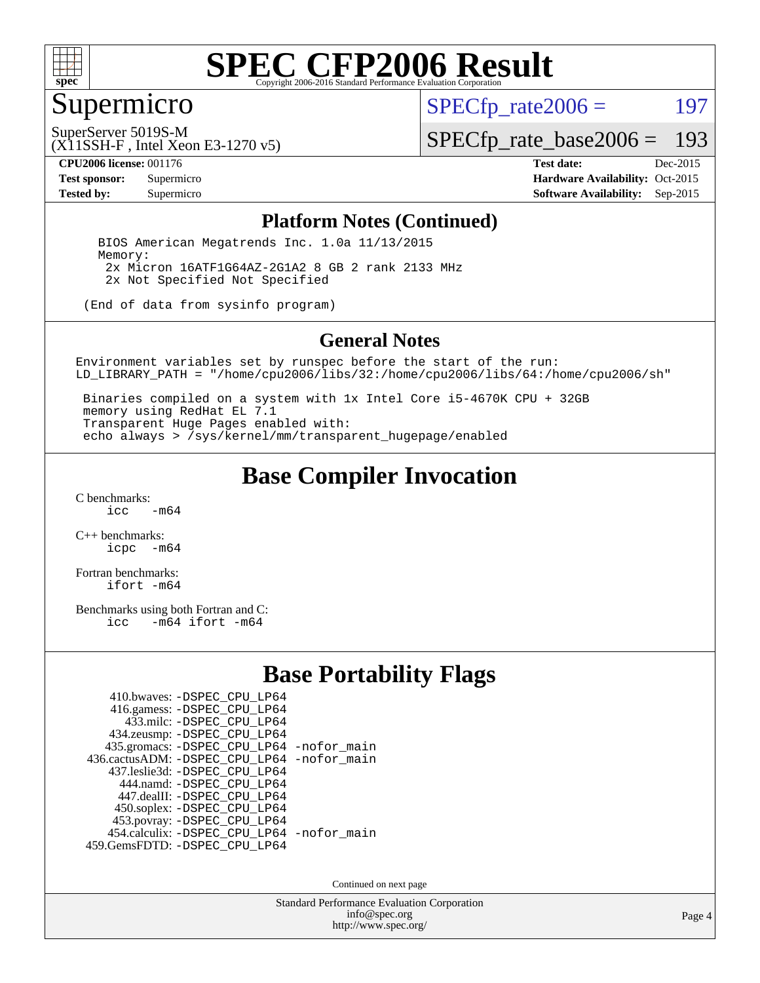

#### Supermicro

 $SPECTp_rate2006 = 197$ 

SuperServer 5019S-M

(X11SSH-F , Intel Xeon E3-1270 v5)

[SPECfp\\_rate\\_base2006 =](http://www.spec.org/auto/cpu2006/Docs/result-fields.html#SPECfpratebase2006) 193

**[CPU2006 license:](http://www.spec.org/auto/cpu2006/Docs/result-fields.html#CPU2006license)** 001176 **[Test date:](http://www.spec.org/auto/cpu2006/Docs/result-fields.html#Testdate)** Dec-2015 **[Test sponsor:](http://www.spec.org/auto/cpu2006/Docs/result-fields.html#Testsponsor)** Supermicro Supermicro **[Hardware Availability:](http://www.spec.org/auto/cpu2006/Docs/result-fields.html#HardwareAvailability)** Oct-2015 **[Tested by:](http://www.spec.org/auto/cpu2006/Docs/result-fields.html#Testedby)** Supermicro **Supermicro [Software Availability:](http://www.spec.org/auto/cpu2006/Docs/result-fields.html#SoftwareAvailability)** Sep-2015

#### **[Platform Notes \(Continued\)](http://www.spec.org/auto/cpu2006/Docs/result-fields.html#PlatformNotes)**

 BIOS American Megatrends Inc. 1.0a 11/13/2015 Memory: 2x Micron 16ATF1G64AZ-2G1A2 8 GB 2 rank 2133 MHz 2x Not Specified Not Specified

(End of data from sysinfo program)

#### **[General Notes](http://www.spec.org/auto/cpu2006/Docs/result-fields.html#GeneralNotes)**

Environment variables set by runspec before the start of the run: LD\_LIBRARY\_PATH = "/home/cpu2006/libs/32:/home/cpu2006/libs/64:/home/cpu2006/sh"

 Binaries compiled on a system with 1x Intel Core i5-4670K CPU + 32GB memory using RedHat EL 7.1 Transparent Huge Pages enabled with: echo always > /sys/kernel/mm/transparent\_hugepage/enabled

#### **[Base Compiler Invocation](http://www.spec.org/auto/cpu2006/Docs/result-fields.html#BaseCompilerInvocation)**

 $C$  benchmarks:<br>icc  $-m64$ 

[C++ benchmarks:](http://www.spec.org/auto/cpu2006/Docs/result-fields.html#CXXbenchmarks) [icpc -m64](http://www.spec.org/cpu2006/results/res2016q1/cpu2006-20151225-38530.flags.html#user_CXXbase_intel_icpc_64bit_bedb90c1146cab66620883ef4f41a67e)

[Fortran benchmarks](http://www.spec.org/auto/cpu2006/Docs/result-fields.html#Fortranbenchmarks): [ifort -m64](http://www.spec.org/cpu2006/results/res2016q1/cpu2006-20151225-38530.flags.html#user_FCbase_intel_ifort_64bit_ee9d0fb25645d0210d97eb0527dcc06e)

[Benchmarks using both Fortran and C](http://www.spec.org/auto/cpu2006/Docs/result-fields.html#BenchmarksusingbothFortranandC): [icc -m64](http://www.spec.org/cpu2006/results/res2016q1/cpu2006-20151225-38530.flags.html#user_CC_FCbase_intel_icc_64bit_0b7121f5ab7cfabee23d88897260401c) [ifort -m64](http://www.spec.org/cpu2006/results/res2016q1/cpu2006-20151225-38530.flags.html#user_CC_FCbase_intel_ifort_64bit_ee9d0fb25645d0210d97eb0527dcc06e)

#### **[Base Portability Flags](http://www.spec.org/auto/cpu2006/Docs/result-fields.html#BasePortabilityFlags)**

| 410.bwaves: -DSPEC CPU LP64                |  |
|--------------------------------------------|--|
| 416.gamess: -DSPEC_CPU_LP64                |  |
| 433.milc: -DSPEC CPU LP64                  |  |
| 434.zeusmp: -DSPEC_CPU_LP64                |  |
| 435.gromacs: -DSPEC_CPU_LP64 -nofor_main   |  |
| 436.cactusADM: -DSPEC CPU LP64 -nofor main |  |
| 437.leslie3d: -DSPEC CPU LP64              |  |
| 444.namd: - DSPEC CPU LP64                 |  |
| 447.dealII: -DSPEC_CPU LP64                |  |
| 450.soplex: -DSPEC_CPU_LP64                |  |
| 453.povray: -DSPEC_CPU_LP64                |  |
| 454.calculix: - DSPEC_CPU_LP64 -nofor_main |  |
| 459. GemsFDTD: - DSPEC CPU LP64            |  |

Continued on next page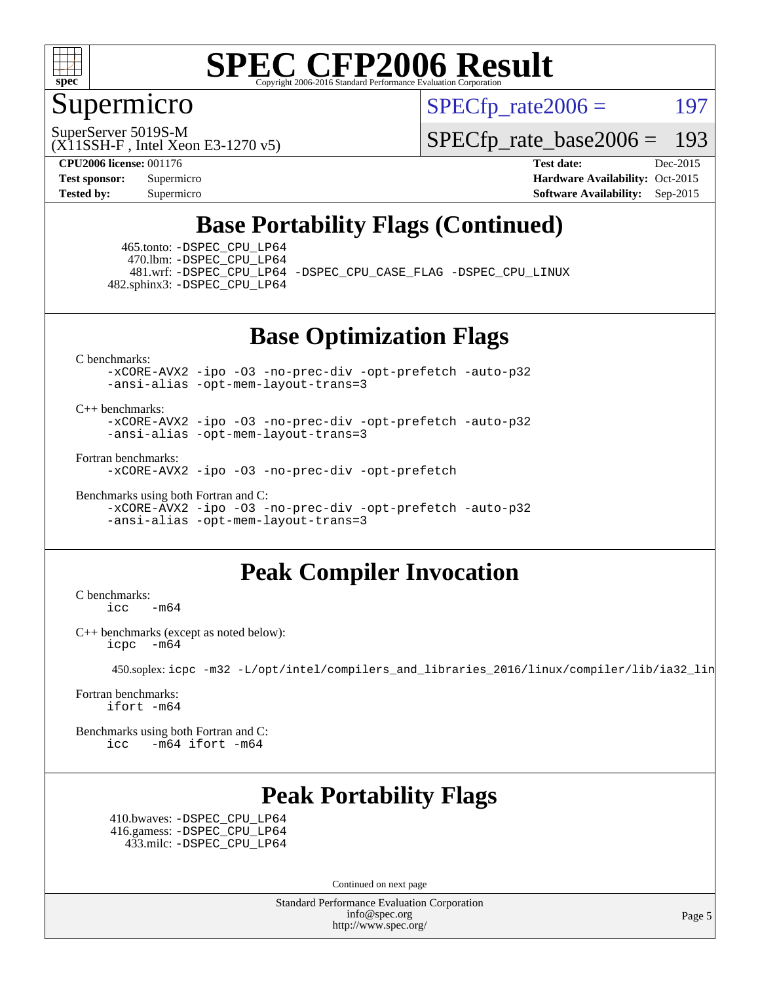

#### Supermicro

 $SPECTp\_rate2006 = 197$ 

(X11SSH-F , Intel Xeon E3-1270 v5) SuperServer 5019S-M

[SPECfp\\_rate\\_base2006 =](http://www.spec.org/auto/cpu2006/Docs/result-fields.html#SPECfpratebase2006) 193

**[CPU2006 license:](http://www.spec.org/auto/cpu2006/Docs/result-fields.html#CPU2006license)** 001176 **[Test date:](http://www.spec.org/auto/cpu2006/Docs/result-fields.html#Testdate)** Dec-2015 **[Test sponsor:](http://www.spec.org/auto/cpu2006/Docs/result-fields.html#Testsponsor)** Supermicro Supermicro **[Hardware Availability:](http://www.spec.org/auto/cpu2006/Docs/result-fields.html#HardwareAvailability)** Oct-2015 **[Tested by:](http://www.spec.org/auto/cpu2006/Docs/result-fields.html#Testedby)** Supermicro **Supermicro [Software Availability:](http://www.spec.org/auto/cpu2006/Docs/result-fields.html#SoftwareAvailability)** Sep-2015

### **[Base Portability Flags \(Continued\)](http://www.spec.org/auto/cpu2006/Docs/result-fields.html#BasePortabilityFlags)**

 465.tonto: [-DSPEC\\_CPU\\_LP64](http://www.spec.org/cpu2006/results/res2016q1/cpu2006-20151225-38530.flags.html#suite_basePORTABILITY465_tonto_DSPEC_CPU_LP64) 470.lbm: [-DSPEC\\_CPU\\_LP64](http://www.spec.org/cpu2006/results/res2016q1/cpu2006-20151225-38530.flags.html#suite_basePORTABILITY470_lbm_DSPEC_CPU_LP64) 482.sphinx3: [-DSPEC\\_CPU\\_LP64](http://www.spec.org/cpu2006/results/res2016q1/cpu2006-20151225-38530.flags.html#suite_basePORTABILITY482_sphinx3_DSPEC_CPU_LP64)

481.wrf: [-DSPEC\\_CPU\\_LP64](http://www.spec.org/cpu2006/results/res2016q1/cpu2006-20151225-38530.flags.html#suite_basePORTABILITY481_wrf_DSPEC_CPU_LP64) [-DSPEC\\_CPU\\_CASE\\_FLAG](http://www.spec.org/cpu2006/results/res2016q1/cpu2006-20151225-38530.flags.html#b481.wrf_baseCPORTABILITY_DSPEC_CPU_CASE_FLAG) [-DSPEC\\_CPU\\_LINUX](http://www.spec.org/cpu2006/results/res2016q1/cpu2006-20151225-38530.flags.html#b481.wrf_baseCPORTABILITY_DSPEC_CPU_LINUX)

**[Base Optimization Flags](http://www.spec.org/auto/cpu2006/Docs/result-fields.html#BaseOptimizationFlags)**

[C benchmarks](http://www.spec.org/auto/cpu2006/Docs/result-fields.html#Cbenchmarks):

[-xCORE-AVX2](http://www.spec.org/cpu2006/results/res2016q1/cpu2006-20151225-38530.flags.html#user_CCbase_f-xAVX2_5f5fc0cbe2c9f62c816d3e45806c70d7) [-ipo](http://www.spec.org/cpu2006/results/res2016q1/cpu2006-20151225-38530.flags.html#user_CCbase_f-ipo) [-O3](http://www.spec.org/cpu2006/results/res2016q1/cpu2006-20151225-38530.flags.html#user_CCbase_f-O3) [-no-prec-div](http://www.spec.org/cpu2006/results/res2016q1/cpu2006-20151225-38530.flags.html#user_CCbase_f-no-prec-div) [-opt-prefetch](http://www.spec.org/cpu2006/results/res2016q1/cpu2006-20151225-38530.flags.html#user_CCbase_f-opt-prefetch) [-auto-p32](http://www.spec.org/cpu2006/results/res2016q1/cpu2006-20151225-38530.flags.html#user_CCbase_f-auto-p32) [-ansi-alias](http://www.spec.org/cpu2006/results/res2016q1/cpu2006-20151225-38530.flags.html#user_CCbase_f-ansi-alias) [-opt-mem-layout-trans=3](http://www.spec.org/cpu2006/results/res2016q1/cpu2006-20151225-38530.flags.html#user_CCbase_f-opt-mem-layout-trans_a7b82ad4bd7abf52556d4961a2ae94d5)

[C++ benchmarks:](http://www.spec.org/auto/cpu2006/Docs/result-fields.html#CXXbenchmarks)

[-xCORE-AVX2](http://www.spec.org/cpu2006/results/res2016q1/cpu2006-20151225-38530.flags.html#user_CXXbase_f-xAVX2_5f5fc0cbe2c9f62c816d3e45806c70d7) [-ipo](http://www.spec.org/cpu2006/results/res2016q1/cpu2006-20151225-38530.flags.html#user_CXXbase_f-ipo) [-O3](http://www.spec.org/cpu2006/results/res2016q1/cpu2006-20151225-38530.flags.html#user_CXXbase_f-O3) [-no-prec-div](http://www.spec.org/cpu2006/results/res2016q1/cpu2006-20151225-38530.flags.html#user_CXXbase_f-no-prec-div) [-opt-prefetch](http://www.spec.org/cpu2006/results/res2016q1/cpu2006-20151225-38530.flags.html#user_CXXbase_f-opt-prefetch) [-auto-p32](http://www.spec.org/cpu2006/results/res2016q1/cpu2006-20151225-38530.flags.html#user_CXXbase_f-auto-p32) [-ansi-alias](http://www.spec.org/cpu2006/results/res2016q1/cpu2006-20151225-38530.flags.html#user_CXXbase_f-ansi-alias) [-opt-mem-layout-trans=3](http://www.spec.org/cpu2006/results/res2016q1/cpu2006-20151225-38530.flags.html#user_CXXbase_f-opt-mem-layout-trans_a7b82ad4bd7abf52556d4961a2ae94d5)

[Fortran benchmarks](http://www.spec.org/auto/cpu2006/Docs/result-fields.html#Fortranbenchmarks):

[-xCORE-AVX2](http://www.spec.org/cpu2006/results/res2016q1/cpu2006-20151225-38530.flags.html#user_FCbase_f-xAVX2_5f5fc0cbe2c9f62c816d3e45806c70d7) [-ipo](http://www.spec.org/cpu2006/results/res2016q1/cpu2006-20151225-38530.flags.html#user_FCbase_f-ipo) [-O3](http://www.spec.org/cpu2006/results/res2016q1/cpu2006-20151225-38530.flags.html#user_FCbase_f-O3) [-no-prec-div](http://www.spec.org/cpu2006/results/res2016q1/cpu2006-20151225-38530.flags.html#user_FCbase_f-no-prec-div) [-opt-prefetch](http://www.spec.org/cpu2006/results/res2016q1/cpu2006-20151225-38530.flags.html#user_FCbase_f-opt-prefetch)

[Benchmarks using both Fortran and C](http://www.spec.org/auto/cpu2006/Docs/result-fields.html#BenchmarksusingbothFortranandC):

[-xCORE-AVX2](http://www.spec.org/cpu2006/results/res2016q1/cpu2006-20151225-38530.flags.html#user_CC_FCbase_f-xAVX2_5f5fc0cbe2c9f62c816d3e45806c70d7) [-ipo](http://www.spec.org/cpu2006/results/res2016q1/cpu2006-20151225-38530.flags.html#user_CC_FCbase_f-ipo) [-O3](http://www.spec.org/cpu2006/results/res2016q1/cpu2006-20151225-38530.flags.html#user_CC_FCbase_f-O3) [-no-prec-div](http://www.spec.org/cpu2006/results/res2016q1/cpu2006-20151225-38530.flags.html#user_CC_FCbase_f-no-prec-div) [-opt-prefetch](http://www.spec.org/cpu2006/results/res2016q1/cpu2006-20151225-38530.flags.html#user_CC_FCbase_f-opt-prefetch) [-auto-p32](http://www.spec.org/cpu2006/results/res2016q1/cpu2006-20151225-38530.flags.html#user_CC_FCbase_f-auto-p32) [-ansi-alias](http://www.spec.org/cpu2006/results/res2016q1/cpu2006-20151225-38530.flags.html#user_CC_FCbase_f-ansi-alias) [-opt-mem-layout-trans=3](http://www.spec.org/cpu2006/results/res2016q1/cpu2006-20151225-38530.flags.html#user_CC_FCbase_f-opt-mem-layout-trans_a7b82ad4bd7abf52556d4961a2ae94d5)

#### **[Peak Compiler Invocation](http://www.spec.org/auto/cpu2006/Docs/result-fields.html#PeakCompilerInvocation)**

[C benchmarks](http://www.spec.org/auto/cpu2006/Docs/result-fields.html#Cbenchmarks): [icc -m64](http://www.spec.org/cpu2006/results/res2016q1/cpu2006-20151225-38530.flags.html#user_CCpeak_intel_icc_64bit_0b7121f5ab7cfabee23d88897260401c)

[C++ benchmarks \(except as noted below\):](http://www.spec.org/auto/cpu2006/Docs/result-fields.html#CXXbenchmarksexceptasnotedbelow) [icpc -m64](http://www.spec.org/cpu2006/results/res2016q1/cpu2006-20151225-38530.flags.html#user_CXXpeak_intel_icpc_64bit_bedb90c1146cab66620883ef4f41a67e)

450.soplex: [icpc -m32 -L/opt/intel/compilers\\_and\\_libraries\\_2016/linux/compiler/lib/ia32\\_lin](http://www.spec.org/cpu2006/results/res2016q1/cpu2006-20151225-38530.flags.html#user_peakCXXLD450_soplex_intel_icpc_b4f50a394bdb4597aa5879c16bc3f5c5)

[Fortran benchmarks](http://www.spec.org/auto/cpu2006/Docs/result-fields.html#Fortranbenchmarks): [ifort -m64](http://www.spec.org/cpu2006/results/res2016q1/cpu2006-20151225-38530.flags.html#user_FCpeak_intel_ifort_64bit_ee9d0fb25645d0210d97eb0527dcc06e)

[Benchmarks using both Fortran and C](http://www.spec.org/auto/cpu2006/Docs/result-fields.html#BenchmarksusingbothFortranandC): [icc -m64](http://www.spec.org/cpu2006/results/res2016q1/cpu2006-20151225-38530.flags.html#user_CC_FCpeak_intel_icc_64bit_0b7121f5ab7cfabee23d88897260401c) [ifort -m64](http://www.spec.org/cpu2006/results/res2016q1/cpu2006-20151225-38530.flags.html#user_CC_FCpeak_intel_ifort_64bit_ee9d0fb25645d0210d97eb0527dcc06e)

## **[Peak Portability Flags](http://www.spec.org/auto/cpu2006/Docs/result-fields.html#PeakPortabilityFlags)**

 410.bwaves: [-DSPEC\\_CPU\\_LP64](http://www.spec.org/cpu2006/results/res2016q1/cpu2006-20151225-38530.flags.html#suite_peakPORTABILITY410_bwaves_DSPEC_CPU_LP64) 416.gamess: [-DSPEC\\_CPU\\_LP64](http://www.spec.org/cpu2006/results/res2016q1/cpu2006-20151225-38530.flags.html#suite_peakPORTABILITY416_gamess_DSPEC_CPU_LP64) 433.milc: [-DSPEC\\_CPU\\_LP64](http://www.spec.org/cpu2006/results/res2016q1/cpu2006-20151225-38530.flags.html#suite_peakPORTABILITY433_milc_DSPEC_CPU_LP64)

Continued on next page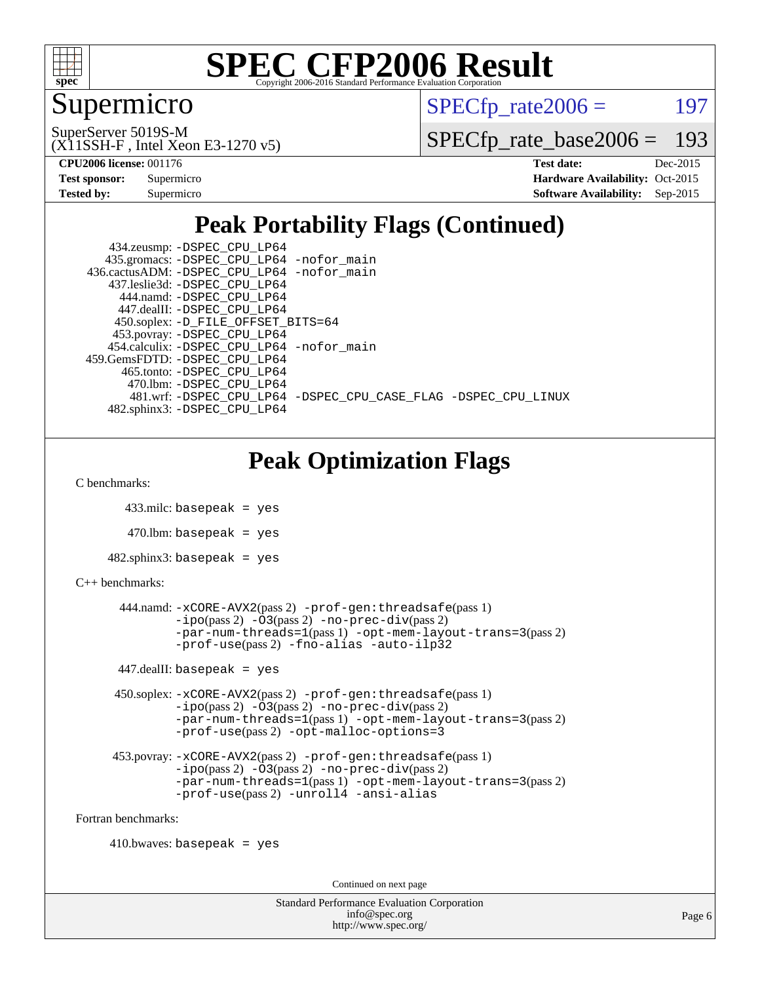

### Supermicro

 $SPECTp\_rate2006 = 197$ 

(X11SSH-F , Intel Xeon E3-1270 v5) SuperServer 5019S-M

[SPECfp\\_rate\\_base2006 =](http://www.spec.org/auto/cpu2006/Docs/result-fields.html#SPECfpratebase2006) 193

| Test sponsor: | Supermicro |
|---------------|------------|
| Tested by:    | Supermicro |

**[CPU2006 license:](http://www.spec.org/auto/cpu2006/Docs/result-fields.html#CPU2006license)** 001176 **[Test date:](http://www.spec.org/auto/cpu2006/Docs/result-fields.html#Testdate)** Dec-2015 **[Hardware Availability:](http://www.spec.org/auto/cpu2006/Docs/result-fields.html#HardwareAvailability)** Oct-2015 **[Software Availability:](http://www.spec.org/auto/cpu2006/Docs/result-fields.html#SoftwareAvailability)** Sep-2015

### **[Peak Portability Flags \(Continued\)](http://www.spec.org/auto/cpu2006/Docs/result-fields.html#PeakPortabilityFlags)**

 434.zeusmp: [-DSPEC\\_CPU\\_LP64](http://www.spec.org/cpu2006/results/res2016q1/cpu2006-20151225-38530.flags.html#suite_peakPORTABILITY434_zeusmp_DSPEC_CPU_LP64) 435.gromacs: [-DSPEC\\_CPU\\_LP64](http://www.spec.org/cpu2006/results/res2016q1/cpu2006-20151225-38530.flags.html#suite_peakPORTABILITY435_gromacs_DSPEC_CPU_LP64) [-nofor\\_main](http://www.spec.org/cpu2006/results/res2016q1/cpu2006-20151225-38530.flags.html#user_peakLDPORTABILITY435_gromacs_f-nofor_main) 436.cactusADM: [-DSPEC\\_CPU\\_LP64](http://www.spec.org/cpu2006/results/res2016q1/cpu2006-20151225-38530.flags.html#suite_peakPORTABILITY436_cactusADM_DSPEC_CPU_LP64) [-nofor\\_main](http://www.spec.org/cpu2006/results/res2016q1/cpu2006-20151225-38530.flags.html#user_peakLDPORTABILITY436_cactusADM_f-nofor_main) 437.leslie3d: [-DSPEC\\_CPU\\_LP64](http://www.spec.org/cpu2006/results/res2016q1/cpu2006-20151225-38530.flags.html#suite_peakPORTABILITY437_leslie3d_DSPEC_CPU_LP64) 444.namd: [-DSPEC\\_CPU\\_LP64](http://www.spec.org/cpu2006/results/res2016q1/cpu2006-20151225-38530.flags.html#suite_peakPORTABILITY444_namd_DSPEC_CPU_LP64) 447.dealII: [-DSPEC\\_CPU\\_LP64](http://www.spec.org/cpu2006/results/res2016q1/cpu2006-20151225-38530.flags.html#suite_peakPORTABILITY447_dealII_DSPEC_CPU_LP64) 450.soplex: [-D\\_FILE\\_OFFSET\\_BITS=64](http://www.spec.org/cpu2006/results/res2016q1/cpu2006-20151225-38530.flags.html#user_peakPORTABILITY450_soplex_file_offset_bits_64_438cf9856305ebd76870a2c6dc2689ab) 453.povray: [-DSPEC\\_CPU\\_LP64](http://www.spec.org/cpu2006/results/res2016q1/cpu2006-20151225-38530.flags.html#suite_peakPORTABILITY453_povray_DSPEC_CPU_LP64) 454.calculix: [-DSPEC\\_CPU\\_LP64](http://www.spec.org/cpu2006/results/res2016q1/cpu2006-20151225-38530.flags.html#suite_peakPORTABILITY454_calculix_DSPEC_CPU_LP64) [-nofor\\_main](http://www.spec.org/cpu2006/results/res2016q1/cpu2006-20151225-38530.flags.html#user_peakLDPORTABILITY454_calculix_f-nofor_main) 459.GemsFDTD: [-DSPEC\\_CPU\\_LP64](http://www.spec.org/cpu2006/results/res2016q1/cpu2006-20151225-38530.flags.html#suite_peakPORTABILITY459_GemsFDTD_DSPEC_CPU_LP64) 465.tonto: [-DSPEC\\_CPU\\_LP64](http://www.spec.org/cpu2006/results/res2016q1/cpu2006-20151225-38530.flags.html#suite_peakPORTABILITY465_tonto_DSPEC_CPU_LP64) 470.lbm: [-DSPEC\\_CPU\\_LP64](http://www.spec.org/cpu2006/results/res2016q1/cpu2006-20151225-38530.flags.html#suite_peakPORTABILITY470_lbm_DSPEC_CPU_LP64) 481.wrf: [-DSPEC\\_CPU\\_LP64](http://www.spec.org/cpu2006/results/res2016q1/cpu2006-20151225-38530.flags.html#suite_peakPORTABILITY481_wrf_DSPEC_CPU_LP64) [-DSPEC\\_CPU\\_CASE\\_FLAG](http://www.spec.org/cpu2006/results/res2016q1/cpu2006-20151225-38530.flags.html#b481.wrf_peakCPORTABILITY_DSPEC_CPU_CASE_FLAG) [-DSPEC\\_CPU\\_LINUX](http://www.spec.org/cpu2006/results/res2016q1/cpu2006-20151225-38530.flags.html#b481.wrf_peakCPORTABILITY_DSPEC_CPU_LINUX) 482.sphinx3: [-DSPEC\\_CPU\\_LP64](http://www.spec.org/cpu2006/results/res2016q1/cpu2006-20151225-38530.flags.html#suite_peakPORTABILITY482_sphinx3_DSPEC_CPU_LP64)

### **[Peak Optimization Flags](http://www.spec.org/auto/cpu2006/Docs/result-fields.html#PeakOptimizationFlags)**

[C benchmarks](http://www.spec.org/auto/cpu2006/Docs/result-fields.html#Cbenchmarks):

433.milc: basepeak = yes

 $470$ .lbm: basepeak = yes

482.sphinx3: basepeak = yes

#### [C++ benchmarks:](http://www.spec.org/auto/cpu2006/Docs/result-fields.html#CXXbenchmarks)

```
 444.namd: -xCORE-AVX2(pass 2) -prof-gen:threadsafe(pass 1)
-i\text{po}(pass 2) -\overset{\cdot}{\text{O}}3(pass 2)-no-prec-div(pass 2)
-par-num-threads=1(pass 1) -opt-mem-layout-trans=3(pass 2)
-prof-use(pass 2) -fno-alias -auto-ilp32
```
 $447$ .dealII: basepeak = yes

 450.soplex: [-xCORE-AVX2](http://www.spec.org/cpu2006/results/res2016q1/cpu2006-20151225-38530.flags.html#user_peakPASS2_CXXFLAGSPASS2_LDFLAGS450_soplex_f-xAVX2_5f5fc0cbe2c9f62c816d3e45806c70d7)(pass 2) [-prof-gen:threadsafe](http://www.spec.org/cpu2006/results/res2016q1/cpu2006-20151225-38530.flags.html#user_peakPASS1_CXXFLAGSPASS1_LDFLAGS450_soplex_prof_gen_21a26eb79f378b550acd7bec9fe4467a)(pass 1) [-ipo](http://www.spec.org/cpu2006/results/res2016q1/cpu2006-20151225-38530.flags.html#user_peakPASS2_CXXFLAGSPASS2_LDFLAGS450_soplex_f-ipo)(pass 2) [-O3](http://www.spec.org/cpu2006/results/res2016q1/cpu2006-20151225-38530.flags.html#user_peakPASS2_CXXFLAGSPASS2_LDFLAGS450_soplex_f-O3)(pass 2) [-no-prec-div](http://www.spec.org/cpu2006/results/res2016q1/cpu2006-20151225-38530.flags.html#user_peakPASS2_CXXFLAGSPASS2_LDFLAGS450_soplex_f-no-prec-div)(pass 2) [-par-num-threads=1](http://www.spec.org/cpu2006/results/res2016q1/cpu2006-20151225-38530.flags.html#user_peakPASS1_CXXFLAGSPASS1_LDFLAGS450_soplex_par_num_threads_786a6ff141b4e9e90432e998842df6c2)(pass 1) [-opt-mem-layout-trans=3](http://www.spec.org/cpu2006/results/res2016q1/cpu2006-20151225-38530.flags.html#user_peakPASS2_CXXFLAGS450_soplex_f-opt-mem-layout-trans_a7b82ad4bd7abf52556d4961a2ae94d5)(pass 2) [-prof-use](http://www.spec.org/cpu2006/results/res2016q1/cpu2006-20151225-38530.flags.html#user_peakPASS2_CXXFLAGSPASS2_LDFLAGS450_soplex_prof_use_bccf7792157ff70d64e32fe3e1250b55)(pass 2) [-opt-malloc-options=3](http://www.spec.org/cpu2006/results/res2016q1/cpu2006-20151225-38530.flags.html#user_peakOPTIMIZE450_soplex_f-opt-malloc-options_13ab9b803cf986b4ee62f0a5998c2238)

```
 453.povray: -xCORE-AVX2(pass 2) -prof-gen:threadsafe(pass 1)
-O3(pass 2)-no-prec-div(pass 2)
-par-num-threads=1(pass 1) -opt-mem-layout-trans=3(pass 2)
-prof-use(pass 2) -unroll4 -ansi-alias
```
[Fortran benchmarks](http://www.spec.org/auto/cpu2006/Docs/result-fields.html#Fortranbenchmarks):

 $410.bwaves: basepeak = yes$ 

Continued on next page